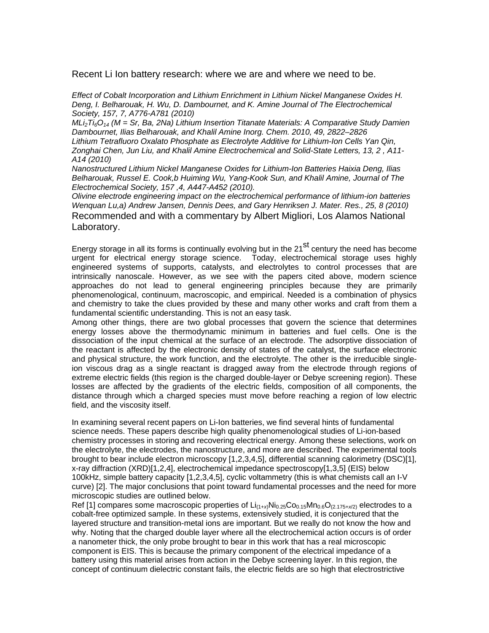Recent Li Ion battery research: where we are and where we need to be.

*Effect of Cobalt Incorporation and Lithium Enrichment in Lithium Nickel Manganese Oxides H. Deng, I. Belharouak, H. Wu, D. Dambournet, and K. Amine Journal of The Electrochemical Society, 157, 7, A776-A781 (2010)* 

*MLi2Ti6O14 (M = Sr, Ba, 2Na) Lithium Insertion Titanate Materials: A Comparative Study Damien Dambournet, Ilias Belharouak, and Khalil Amine Inorg. Chem. 2010, 49, 2822–2826 Lithium Tetrafluoro Oxalato Phosphate as Electrolyte Additive for Lithium-Ion Cells Yan Qin, Zonghai Chen, Jun Liu, and Khalil Amine Electrochemical and Solid-State Letters, 13, 2 , A11- A14 (2010)* 

*Nanostructured Lithium Nickel Manganese Oxides for Lithium-Ion Batteries Haixia Deng, Ilias Belharouak, Russel E. Cook,b Huiming Wu, Yang-Kook Sun, and Khalil Amine, Journal of The Electrochemical Society, 157 ,4, A447-A452 (2010).* 

*Olivine electrode engineering impact on the electrochemical performance of lithium-ion batteries Wenquan Lu,a) Andrew Jansen, Dennis Dees, and Gary Henriksen J. Mater. Res., 25, 8 (2010)* Recommended and with a commentary by Albert Migliori, Los Alamos National Laboratory.

Energy storage in all its forms is continually evolving but in the 21<sup>st</sup> century the need has become urgent for electrical energy storage science. Today, electrochemical storage uses highly engineered systems of supports, catalysts, and electrolytes to control processes that are intrinsically nanoscale. However, as we see with the papers cited above, modern science approaches do not lead to general engineering principles because they are primarily phenomenological, continuum, macroscopic, and empirical. Needed is a combination of physics and chemistry to take the clues provided by these and many other works and craft from them a fundamental scientific understanding. This is not an easy task.

Among other things, there are two global processes that govern the science that determines energy losses above the thermodynamic minimum in batteries and fuel cells. One is the dissociation of the input chemical at the surface of an electrode. The adsorptive dissociation of the reactant is affected by the electronic density of states of the catalyst, the surface electronic and physical structure, the work function, and the electrolyte. The other is the irreducible singleion viscous drag as a single reactant is dragged away from the electrode through regions of extreme electric fields (this region is the charged double-layer or Debye screening region). These losses are affected by the gradients of the electric fields, composition of all components, the distance through which a charged species must move before reaching a region of low electric field, and the viscosity itself.

In examining several recent papers on Li-Ion batteries, we find several hints of fundamental science needs. These papers describe high quality phenomenological studies of Li-ion-based chemistry processes in storing and recovering electrical energy. Among these selections, work on the electrolyte, the electrodes, the nanostructure, and more are described. The experimental tools brought to bear include electron microscopy [1,2,3,4,5], differential scanning calorimetry (DSC)[1], x-ray diffraction (XRD)[1,2,4], electrochemical impedance spectroscopy[1,3,5] (EIS) below 100kHz, simple battery capacity [1,2,3,4,5], cyclic voltammetry (this is what chemists call an I-V curve) [2]. The major conclusions that point toward fundamental processes and the need for more microscopic studies are outlined below.

Ref [1] compares some macroscopic properties of Li<sub>(1+x)</sub>Ni<sub>0.25</sub>Co<sub>0.15</sub>Mn<sub>0.6</sub>O<sub>(2.175+x/2)</sub> electrodes to a cobalt-free optimized sample. In these systems, extensively studied, it is conjectured that the layered structure and transition-metal ions are important. But we really do not know the how and why. Noting that the charged double layer where all the electrochemical action occurs is of order a nanometer thick, the only probe brought to bear in this work that has a real microscopic component is EIS. This is because the primary component of the electrical impedance of a battery using this material arises from action in the Debye screening layer. In this region, the concept of continuum dielectric constant fails, the electric fields are so high that electrostrictive